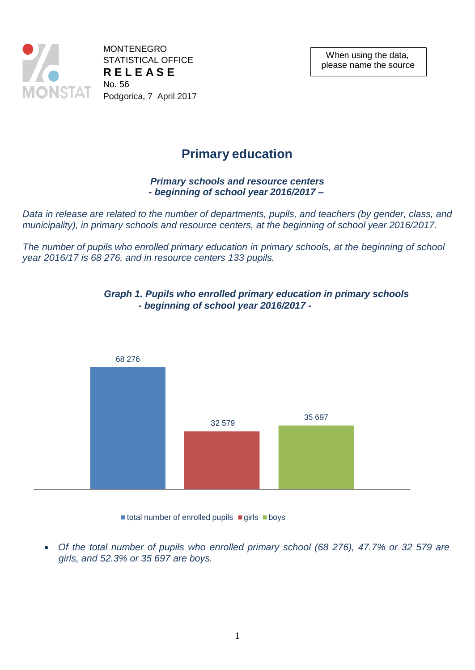

MONTENEGRO STATISTICAL OFFICE **R E L E A S E** No. 56 Podgorica, 7 April 2017

# **Primary education**

## *Primary schools and resource centers* **-** *beginning of school year 2016/2017 –*

*Data in release are related to the number of departments, pupils, and teachers (by gender, class, and municipality), in primary schools and resource centers, at the beginning of school year 2016/2017.*

*The number of pupils who enrolled primary education in primary schools, at the beginning of school year 2016/17 is 68 276, and in resource centers 133 pupils.*



### *Graph 1. Pupils who enrolled primary education in primary schools - beginning of school year 2016/2017 -*

 $\blacksquare$  total number of enrolled pupils  $\blacksquare$  girls  $\blacksquare$  boys

 *Of the total number of pupils who enrolled primary school (68 276), 47.7% or 32 579 are girls, and 52.3% or 35 697 are boys.*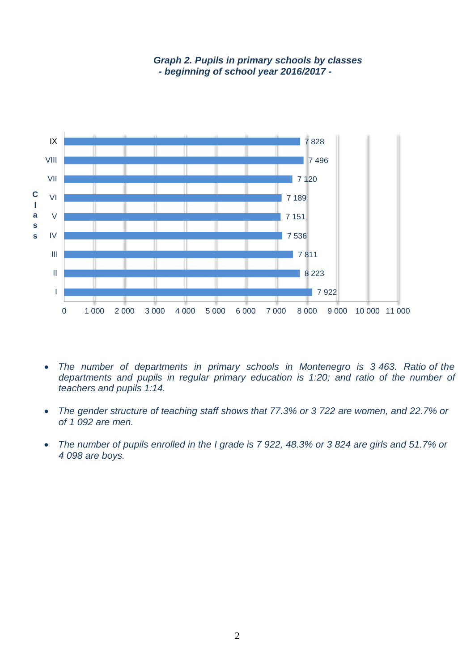

#### *Graph 2. Pupils in primary schools by classes - beginning of school year 2016/2017 -*

- The number of departments in primary schools in Montenegro is 3 463. Ratio of the *departments and pupils in regular primary education is 1:20; and ratio of the number of teachers and pupils 1:14.*
- *The gender structure of teaching staff shows that 77.3% or 3 722 are women, and 22.7% or of 1 092 are men.*
- *The number of pupils enrolled in the I grade is 7 922, 48.3% or 3 824 are girls and 51.7% or 4 098 are boys.*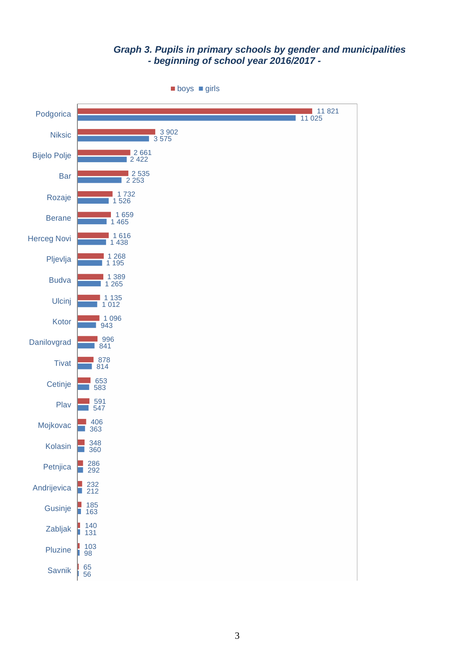# *Graph 3. Pupils in primary schools by gender and municipalities - beginning of school year 2016/2017 -*

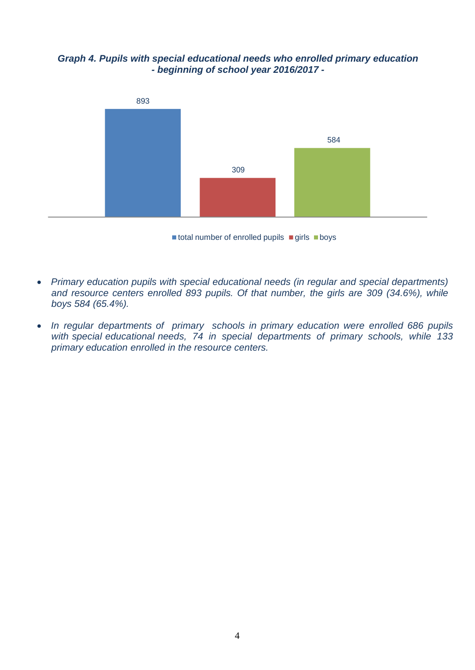*Graph 4. Pupils with special educational needs who enrolled primary education - beginning of school year 2016/2017 -*



 $\blacksquare$  total number of enrolled pupils  $\blacksquare$  girls  $\blacksquare$  boys

- *Primary education pupils with special educational needs (in regular and special departments) and resource centers enrolled 893 pupils. Of that number, the girls are 309 (34.6%), while boys 584 (65.4%).*
- *In regular departments of primary schools in primary education were enrolled 686 pupils with special educational needs, 74 in special departments of primary schools, while 133 primary education enrolled in the resource centers.*